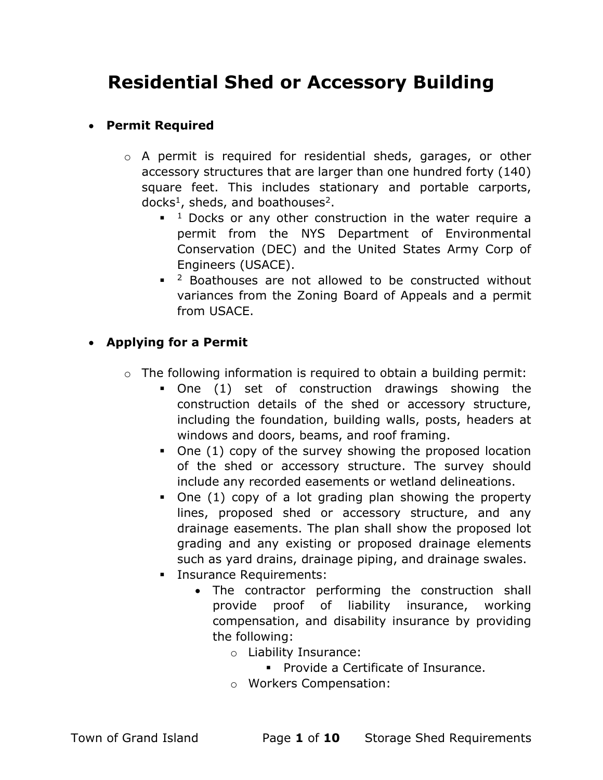# Residential Shed or Accessory Building

#### Permit Required

- o A permit is required for residential sheds, garages, or other accessory structures that are larger than one hundred forty (140) square feet. This includes stationary and portable carports, docks<sup>1</sup>, sheds, and boathouses<sup>2</sup>.
	- $1$  Docks or any other construction in the water require a permit from the NYS Department of Environmental Conservation (DEC) and the United States Army Corp of Engineers (USACE).
	- $\blacksquare$  <sup>2</sup> Boathouses are not allowed to be constructed without variances from the Zoning Board of Appeals and a permit from USACE.

### Applying for a Permit

- o The following information is required to obtain a building permit:
	- One (1) set of construction drawings showing the construction details of the shed or accessory structure, including the foundation, building walls, posts, headers at windows and doors, beams, and roof framing.
	- One (1) copy of the survey showing the proposed location of the shed or accessory structure. The survey should include any recorded easements or wetland delineations.
	- One (1) copy of a lot grading plan showing the property lines, proposed shed or accessory structure, and any drainage easements. The plan shall show the proposed lot grading and any existing or proposed drainage elements such as yard drains, drainage piping, and drainage swales.
	- **Insurance Requirements:** 
		- The contractor performing the construction shall provide proof of liability insurance, working compensation, and disability insurance by providing the following:
			- o Liability Insurance:
				- **Provide a Certificate of Insurance.**
			- o Workers Compensation: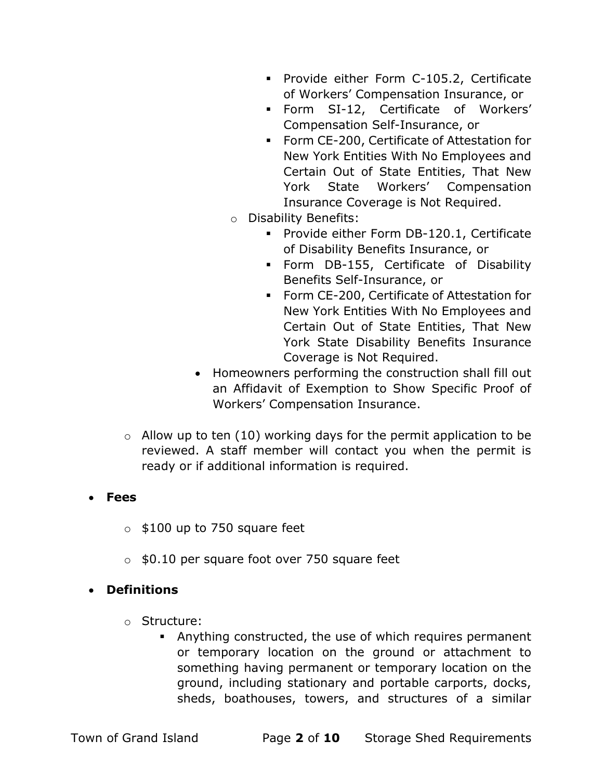- Provide either Form C-105.2, Certificate of Workers' Compensation Insurance, or
- Form SI-12, Certificate of Workers' Compensation Self-Insurance, or
- Form CE-200, Certificate of Attestation for New York Entities With No Employees and Certain Out of State Entities, That New York State Workers' Compensation Insurance Coverage is Not Required.
- o Disability Benefits:
	- **Provide either Form DB-120.1, Certificate** of Disability Benefits Insurance, or
	- Form DB-155, Certificate of Disability Benefits Self-Insurance, or
	- Form CE-200, Certificate of Attestation for New York Entities With No Employees and Certain Out of State Entities, That New York State Disability Benefits Insurance Coverage is Not Required.
- Homeowners performing the construction shall fill out an Affidavit of Exemption to Show Specific Proof of Workers' Compensation Insurance.
- $\circ$  Allow up to ten (10) working days for the permit application to be reviewed. A staff member will contact you when the permit is ready or if additional information is required.

#### Fees

- $\circ$  \$100 up to 750 square feet
- $\circ$  \$0.10 per square foot over 750 square feet

#### Definitions

- o Structure:
	- Anything constructed, the use of which requires permanent or temporary location on the ground or attachment to something having permanent or temporary location on the ground, including stationary and portable carports, docks, sheds, boathouses, towers, and structures of a similar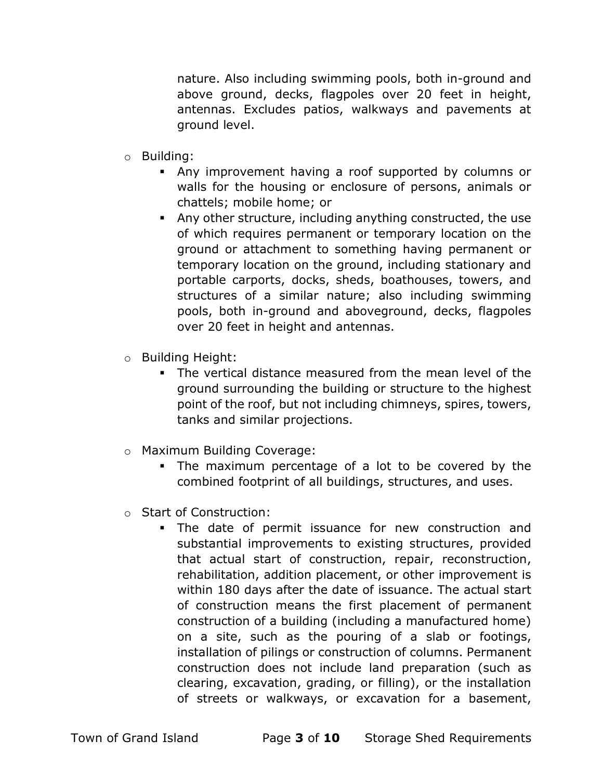nature. Also including swimming pools, both in-ground and above ground, decks, flagpoles over 20 feet in height, antennas. Excludes patios, walkways and pavements at ground level.

- o Building:
	- Any improvement having a roof supported by columns or walls for the housing or enclosure of persons, animals or chattels; mobile home; or
	- Any other structure, including anything constructed, the use of which requires permanent or temporary location on the ground or attachment to something having permanent or temporary location on the ground, including stationary and portable carports, docks, sheds, boathouses, towers, and structures of a similar nature; also including swimming pools, both in-ground and aboveground, decks, flagpoles over 20 feet in height and antennas.
- o Building Height:
	- The vertical distance measured from the mean level of the ground surrounding the building or structure to the highest point of the roof, but not including chimneys, spires, towers, tanks and similar projections.
- o Maximum Building Coverage:
	- The maximum percentage of a lot to be covered by the combined footprint of all buildings, structures, and uses.
- o Start of Construction:
	- The date of permit issuance for new construction and substantial improvements to existing structures, provided that actual start of construction, repair, reconstruction, rehabilitation, addition placement, or other improvement is within 180 days after the date of issuance. The actual start of construction means the first placement of permanent construction of a building (including a manufactured home) on a site, such as the pouring of a slab or footings, installation of pilings or construction of columns. Permanent construction does not include land preparation (such as clearing, excavation, grading, or filling), or the installation of streets or walkways, or excavation for a basement,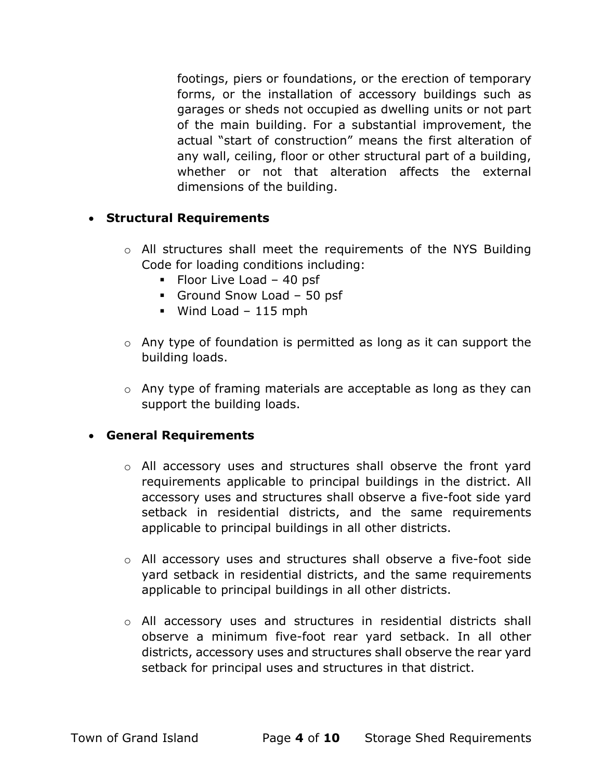footings, piers or foundations, or the erection of temporary forms, or the installation of accessory buildings such as garages or sheds not occupied as dwelling units or not part of the main building. For a substantial improvement, the actual "start of construction" means the first alteration of any wall, ceiling, floor or other structural part of a building, whether or not that alteration affects the external dimensions of the building.

#### Structural Requirements

- o All structures shall meet the requirements of the NYS Building Code for loading conditions including:
	- $\blacksquare$  Floor Live Load 40 psf
	- Ground Snow Load 50 psf
	- $\blacksquare$  Wind Load 115 mph
- o Any type of foundation is permitted as long as it can support the building loads.
- o Any type of framing materials are acceptable as long as they can support the building loads.

#### General Requirements

- o All accessory uses and structures shall observe the front yard requirements applicable to principal buildings in the district. All accessory uses and structures shall observe a five-foot side yard setback in residential districts, and the same requirements applicable to principal buildings in all other districts.
- o All accessory uses and structures shall observe a five-foot side yard setback in residential districts, and the same requirements applicable to principal buildings in all other districts.
- o All accessory uses and structures in residential districts shall observe a minimum five-foot rear yard setback. In all other districts, accessory uses and structures shall observe the rear yard setback for principal uses and structures in that district.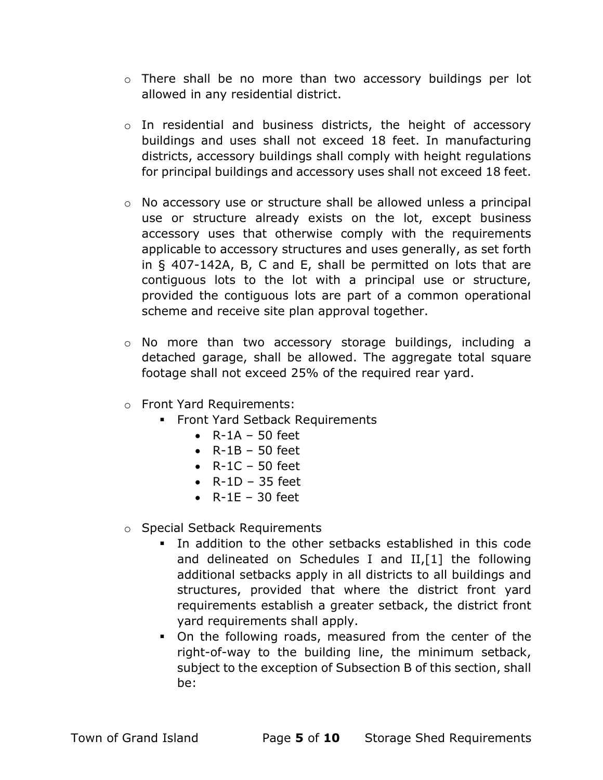- o There shall be no more than two accessory buildings per lot allowed in any residential district.
- o In residential and business districts, the height of accessory buildings and uses shall not exceed 18 feet. In manufacturing districts, accessory buildings shall comply with height regulations for principal buildings and accessory uses shall not exceed 18 feet.
- $\circ$  No accessory use or structure shall be allowed unless a principal use or structure already exists on the lot, except business accessory uses that otherwise comply with the requirements applicable to accessory structures and uses generally, as set forth in § 407-142A, B, C and E, shall be permitted on lots that are contiguous lots to the lot with a principal use or structure, provided the contiguous lots are part of a common operational scheme and receive site plan approval together.
- o No more than two accessory storage buildings, including a detached garage, shall be allowed. The aggregate total square footage shall not exceed 25% of the required rear yard.
- o Front Yard Requirements:
	- **Front Yard Setback Requirements** 
		- $\bullet$  R-1A 50 feet
		- $\bullet$  R-1B 50 feet
		- $\bullet$  R-1C 50 feet
		- $\bullet$  R-1D 35 feet
		- $\bullet$  R-1E 30 feet
- o Special Setback Requirements
	- In addition to the other setbacks established in this code and delineated on Schedules I and II,[1] the following additional setbacks apply in all districts to all buildings and structures, provided that where the district front yard requirements establish a greater setback, the district front yard requirements shall apply.
	- On the following roads, measured from the center of the right-of-way to the building line, the minimum setback, subject to the exception of Subsection B of this section, shall be: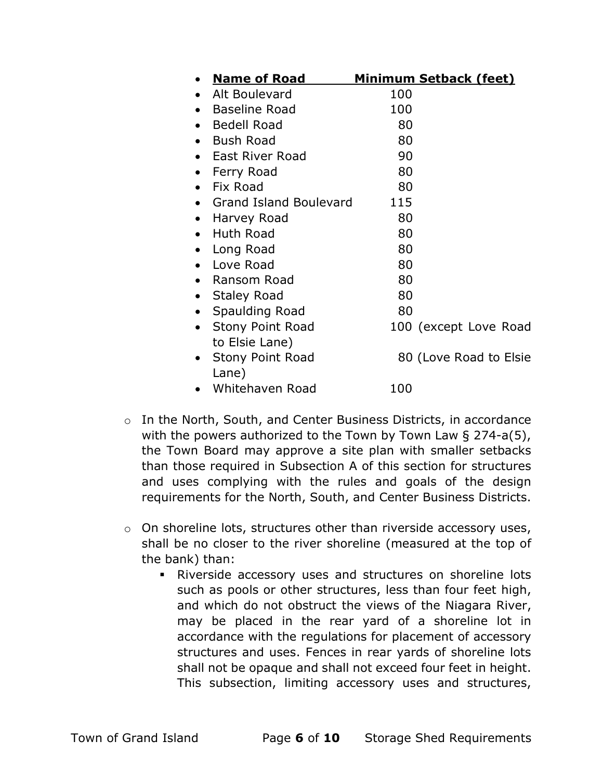| <b>Name of Road</b>                           | <b>Minimum Setback (feet)</b> |
|-----------------------------------------------|-------------------------------|
| Alt Boulevard                                 | 100                           |
| <b>Baseline Road</b>                          | 100                           |
| <b>Bedell Road</b>                            | 80                            |
| <b>Bush Road</b>                              | 80                            |
| East River Road                               | 90                            |
| Ferry Road                                    | 80                            |
| Fix Road                                      | 80                            |
| <b>Grand Island Boulevard</b>                 | 115                           |
| Harvey Road<br>$\bullet$                      | 80                            |
| Huth Road                                     | 80                            |
| Long Road                                     | 80                            |
| Love Road                                     | 80                            |
| Ransom Road                                   | 80                            |
| <b>Staley Road</b>                            | 80                            |
| Spaulding Road<br>$\bullet$                   | 80                            |
| <b>Stony Point Road</b><br>$\bullet$          | 100 (except Love Road         |
| to Elsie Lane)                                |                               |
| <b>Stony Point Road</b><br>$\bullet$<br>Lane) | 80 (Love Road to Elsie        |
| Whitehaven Road                               | 100                           |

- o In the North, South, and Center Business Districts, in accordance with the powers authorized to the Town by Town Law § 274-a(5), the Town Board may approve a site plan with smaller setbacks than those required in Subsection A of this section for structures and uses complying with the rules and goals of the design requirements for the North, South, and Center Business Districts.
- $\circ$  On shoreline lots, structures other than riverside accessory uses, shall be no closer to the river shoreline (measured at the top of the bank) than:
	- Riverside accessory uses and structures on shoreline lots such as pools or other structures, less than four feet high, and which do not obstruct the views of the Niagara River, may be placed in the rear yard of a shoreline lot in accordance with the regulations for placement of accessory structures and uses. Fences in rear yards of shoreline lots shall not be opaque and shall not exceed four feet in height. This subsection, limiting accessory uses and structures,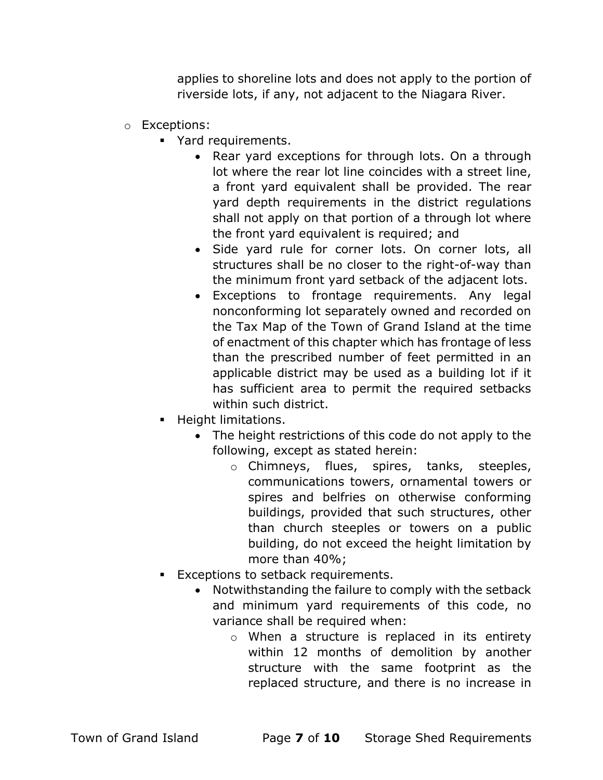applies to shoreline lots and does not apply to the portion of riverside lots, if any, not adjacent to the Niagara River.

- o Exceptions:
	- Yard requirements.
		- Rear yard exceptions for through lots. On a through lot where the rear lot line coincides with a street line, a front yard equivalent shall be provided. The rear yard depth requirements in the district regulations shall not apply on that portion of a through lot where the front yard equivalent is required; and
		- Side yard rule for corner lots. On corner lots, all structures shall be no closer to the right-of-way than the minimum front yard setback of the adjacent lots.
		- Exceptions to frontage requirements. Any legal nonconforming lot separately owned and recorded on the Tax Map of the Town of Grand Island at the time of enactment of this chapter which has frontage of less than the prescribed number of feet permitted in an applicable district may be used as a building lot if it has sufficient area to permit the required setbacks within such district.
	- Height limitations.
		- The height restrictions of this code do not apply to the following, except as stated herein:
			- o Chimneys, flues, spires, tanks, steeples, communications towers, ornamental towers or spires and belfries on otherwise conforming buildings, provided that such structures, other than church steeples or towers on a public building, do not exceed the height limitation by more than 40%;
	- **Exceptions to setback requirements.** 
		- Notwithstanding the failure to comply with the setback and minimum yard requirements of this code, no variance shall be required when:
			- o When a structure is replaced in its entirety within 12 months of demolition by another structure with the same footprint as the replaced structure, and there is no increase in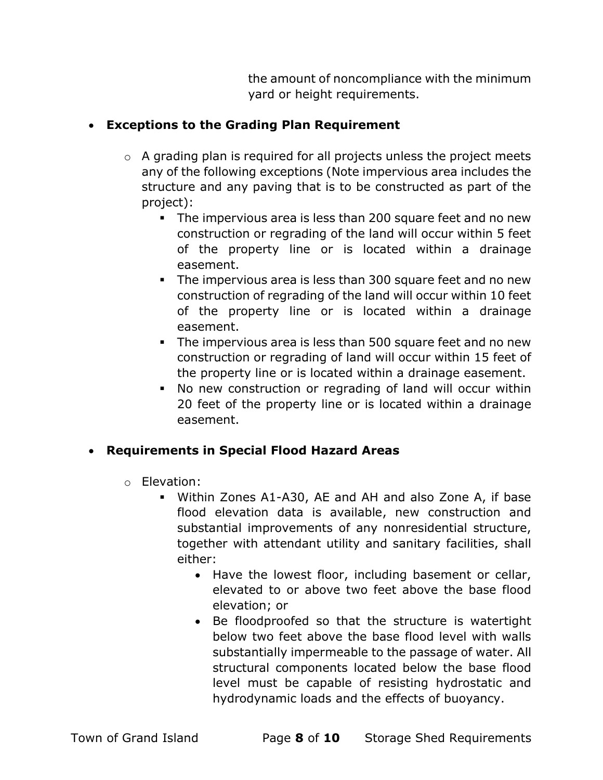the amount of noncompliance with the minimum yard or height requirements.

## Exceptions to the Grading Plan Requirement

- o A grading plan is required for all projects unless the project meets any of the following exceptions (Note impervious area includes the structure and any paving that is to be constructed as part of the project):
	- The impervious area is less than 200 square feet and no new construction or regrading of the land will occur within 5 feet of the property line or is located within a drainage easement.
	- The impervious area is less than 300 square feet and no new construction of regrading of the land will occur within 10 feet of the property line or is located within a drainage easement.
	- The impervious area is less than 500 square feet and no new construction or regrading of land will occur within 15 feet of the property line or is located within a drainage easement.
	- No new construction or regrading of land will occur within 20 feet of the property line or is located within a drainage easement.

## Requirements in Special Flood Hazard Areas

- o Elevation:
	- Within Zones A1-A30, AE and AH and also Zone A, if base flood elevation data is available, new construction and substantial improvements of any nonresidential structure, together with attendant utility and sanitary facilities, shall either:
		- Have the lowest floor, including basement or cellar, elevated to or above two feet above the base flood elevation; or
		- Be floodproofed so that the structure is watertight below two feet above the base flood level with walls substantially impermeable to the passage of water. All structural components located below the base flood level must be capable of resisting hydrostatic and hydrodynamic loads and the effects of buoyancy.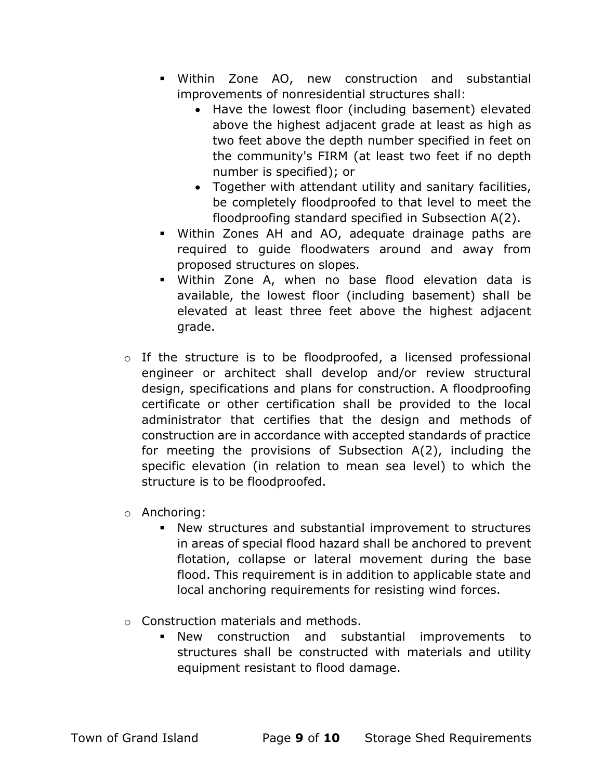- Within Zone AO, new construction and substantial improvements of nonresidential structures shall:
	- Have the lowest floor (including basement) elevated above the highest adjacent grade at least as high as two feet above the depth number specified in feet on the community's FIRM (at least two feet if no depth number is specified); or
	- Together with attendant utility and sanitary facilities, be completely floodproofed to that level to meet the floodproofing standard specified in Subsection A(2).
- Within Zones AH and AO, adequate drainage paths are required to guide floodwaters around and away from proposed structures on slopes.
- Within Zone A, when no base flood elevation data is available, the lowest floor (including basement) shall be elevated at least three feet above the highest adjacent grade.
- o If the structure is to be floodproofed, a licensed professional engineer or architect shall develop and/or review structural design, specifications and plans for construction. A floodproofing certificate or other certification shall be provided to the local administrator that certifies that the design and methods of construction are in accordance with accepted standards of practice for meeting the provisions of Subsection A(2), including the specific elevation (in relation to mean sea level) to which the structure is to be floodproofed.
- o Anchoring:
	- New structures and substantial improvement to structures in areas of special flood hazard shall be anchored to prevent flotation, collapse or lateral movement during the base flood. This requirement is in addition to applicable state and local anchoring requirements for resisting wind forces.
- o Construction materials and methods.
	- New construction and substantial improvements to structures shall be constructed with materials and utility equipment resistant to flood damage.